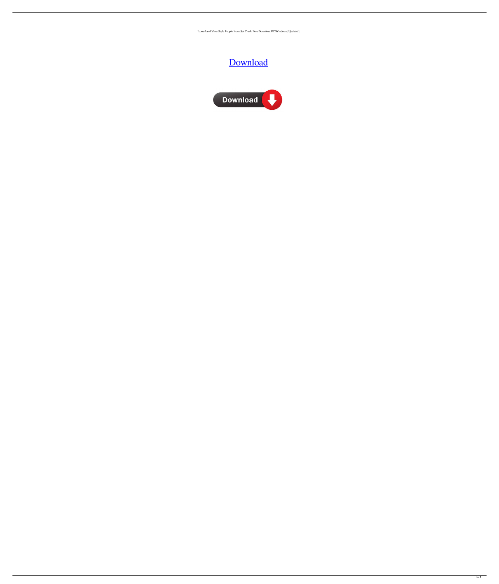Icons-Land Vista Style People Icons Set Crack Free Download PC/Windows [Updated]

# [Download](http://evacdir.com/ZG93bmxvYWR8ZjR0TlhJNWRIeDhNVFkxTkRRek5qWTFPSHg4TWpVNU1IeDhLRTBwSUZkdmNtUndjbVZ6Y3lCYldFMU1VbEJESUZZeUlGQkVSbDA/?chicle=palaverous.reflexive.SWNvbnMtTGFuZCBWaXN0YSBTdHlsZSBQZW9wbGUgSWNvbnMgU2V0SWN.terms.outhitting)



 $\overline{1/4}$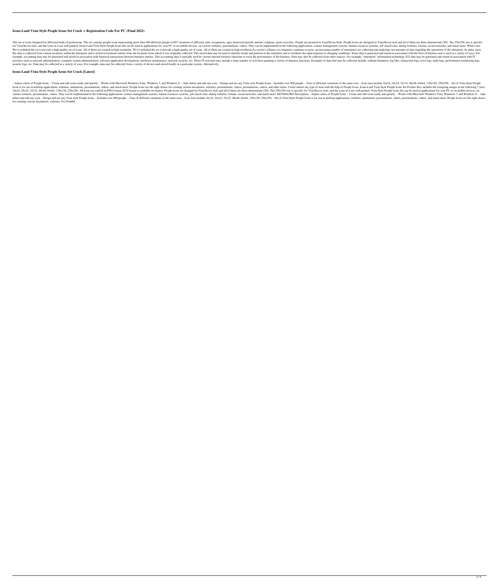### **Icons-Land Vista Style People Icons Set Crack + Registration Code For PC (Final 2022)**

This set of icons designed for different kinds of professions. The set contains people icons representing more then 400 different people in 807 variations of different jobs, occupations, ages, historical periods, nations, for Vista/Seven style, and the icons in it are well painted. Icons-Land Vista Style People Icons Set can be used in applications for your PC or on mobile devices, on various websites, presentations; contact management syst We've polished the set to provide a high-quality set of icons. All of them are created in high resolution. We've polished the set to provide a high-quality set of icons. All of them are created in high resolution. We've po this data is collected from various locations within the enterprise and is stored at locations remote from the locations from which it was originally collected. This stored data may be used to identify trends and patterns example, accounting data may be generated and stored in association with financial transactions between business entities. This accounting data is typically used by various internal business functions to track the performa activities such as network administration, computer system administration, software application development, hardware maintenance, network security, etc. These IT activities may include a large number of activities spannin security logs, etc. Data may be collected in a variety of ways. For example, data may be collected from a variety of devices and stored locally in a particular system. Alternatively,

- Adjust colors of People Icons. - Create and edit icons easily and quickly. - Works with Microsoft Windows Vista, Windows 7, and Windows 8. - Add, delete and edit any icon. - Design and use any Vista style People Icons. -Icons is for use in desktop applications, websites, animations, presentations, videos, and much more. People Icons are the right choice for creating various documents, websites, presentations, videos, and other items. Crea 16x16, 24x24, 32x32, 48x48, 64x64, 128x128, 256x256. All icons are crafted in.PNG format..ICO format is available on request. People Icons are designed in Vista/Seven style and all of them are three-dimensional (3D). The 2 various websites, presentations, videos. They can be implemented in the following applications: contact management systems, human resources systems, job search sites, dating websites, forums, social networks, and much more delete and edit any icon. - Design and use any Vista style People Icons. - Includes over 800 people. Tons of different variations of the same icon. - Icon sizes include 16x16, 24x24, 32x32, 48x48, 64x64, 128x128, 256x256. for creating various documents, websites, 81e310abbf

#### **Icons-Land Vista Style People Icons Set Crack [Latest]**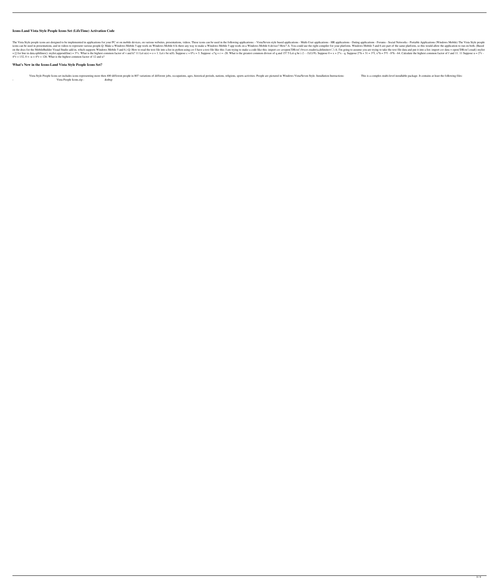## **Icons-Land Vista Style People Icons Set (LifeTime) Activation Code**

The Vista Style people icons are designed to be implemented in applications for your PC or on mobile devices, on various websites, presentations, videos. These icons can be used in the following applications - Multi-User a icons can be used in presentations, and in videos to represent various people.Q: Make a Windows Mobile 5 app work on Windows Mobile 6 Is there any way to make a Windows Mobile 5 app work on a Windows Mobile 6 device? How? on the docs for the MobileBuilder Visual Studio add-in, which supports Windows Mobile 5 and 6.) Q: How to read the text file into a list in python using csv I have a text file like this: I am trying to make a code like thi = [] for line in data.splitlines(): mylist.append(line) = 3\*v. What is the highest common factor of v and k? 11 Let u(o) = o + 1. Let r be u(0). Suppose c + 0\*c = 3. Suppose -c\*q + r = -28. What is the greatest common div  $4*$ r + 132, 0 = -u +  $4*$ r + 126. What is the highest common factor of 12 and u?

# **What's New in the Icons-Land Vista Style People Icons Set?**

Vista Style People Icons set includes icons representing more then 400 different people in 807 variations of different jobs, occupations, ages, historical periods, nations, religions, sports activities. People are pictured Vista People Icons.zip - &nbsp

 $3/4$